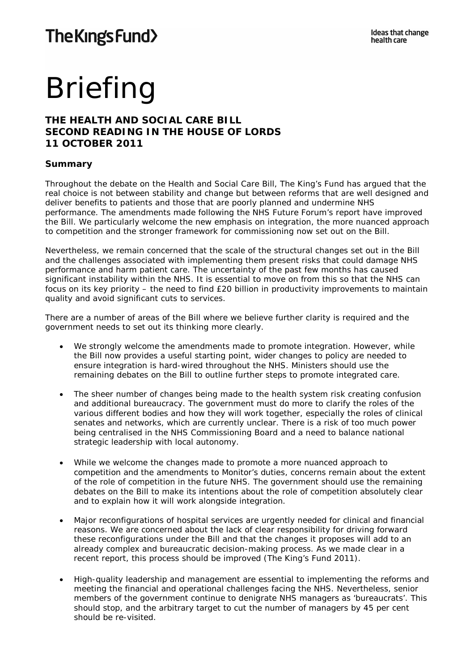# Briefing

# **THE HEALTH AND SOCIAL CARE BILL SECOND READING IN THE HOUSE OF LORDS 11 OCTOBER 2011**

# **Summary**

Throughout the debate on the Health and Social Care Bill, The King's Fund has argued that the real choice is not between stability and change but between reforms that are well designed and deliver benefits to patients and those that are poorly planned and undermine NHS performance. The amendments made following the NHS Future Forum's report have improved the Bill. We particularly welcome the new emphasis on integration, the more nuanced approach to competition and the stronger framework for commissioning now set out on the Bill.

Nevertheless, we remain concerned that the scale of the structural changes set out in the Bill and the challenges associated with implementing them present risks that could damage NHS performance and harm patient care. The uncertainty of the past few months has caused significant instability within the NHS. It is essential to move on from this so that the NHS can focus on its key priority – the need to find £20 billion in productivity improvements to maintain quality and avoid significant cuts to services.

There are a number of areas of the Bill where we believe further clarity is required and the government needs to set out its thinking more clearly.

- We strongly welcome the amendments made to promote integration. However, while the Bill now provides a useful starting point, wider changes to policy are needed to ensure integration is hard-wired throughout the NHS. Ministers should use the remaining debates on the Bill to outline further steps to promote integrated care.
- The sheer number of changes being made to the health system risk creating confusion and additional bureaucracy. The government must do more to clarify the roles of the various different bodies and how they will work together, especially the roles of clinical senates and networks, which are currently unclear. There is a risk of too much power being centralised in the NHS Commissioning Board and a need to balance national strategic leadership with local autonomy.
- While we welcome the changes made to promote a more nuanced approach to competition and the amendments to Monitor's duties, concerns remain about the extent of the role of competition in the future NHS. The government should use the remaining debates on the Bill to make its intentions about the role of competition absolutely clear and to explain how it will work alongside integration.
- Major reconfigurations of hospital services are urgently needed for clinical and financial reasons. We are concerned about the lack of clear responsibility for driving forward these reconfigurations under the Bill and that the changes it proposes will add to an already complex and bureaucratic decision-making process. As we made clear in a recent report, this process should be improved (The King's Fund 2011).
- High-quality leadership and management are essential to implementing the reforms and meeting the financial and operational challenges facing the NHS. Nevertheless, senior members of the government continue to denigrate NHS managers as 'bureaucrats'. This should stop, and the arbitrary target to cut the number of managers by 45 per cent should be re-visited.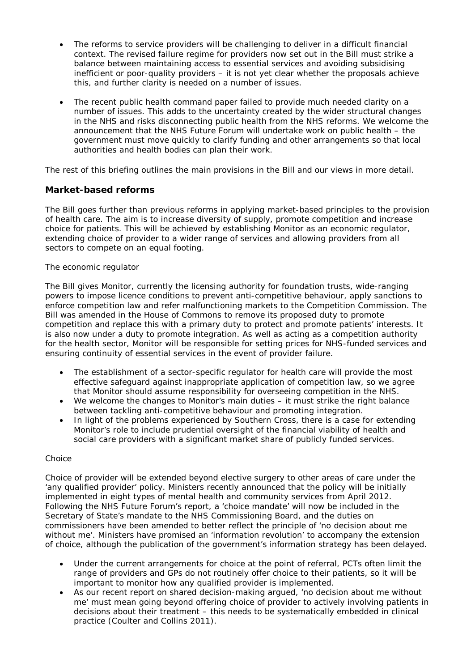- The reforms to service providers will be challenging to deliver in a difficult financial context. The revised failure regime for providers now set out in the Bill must strike a balance between maintaining access to essential services and avoiding subsidising inefficient or poor-quality providers – it is not yet clear whether the proposals achieve this, and further clarity is needed on a number of issues.
- The recent public health command paper failed to provide much needed clarity on a number of issues. This adds to the uncertainty created by the wider structural changes in the NHS and risks disconnecting public health from the NHS reforms. We welcome the announcement that the NHS Future Forum will undertake work on public health – the government must move quickly to clarify funding and other arrangements so that local authorities and health bodies can plan their work.

The rest of this briefing outlines the main provisions in the Bill and our views in more detail.

# **Market-based reforms**

The Bill goes further than previous reforms in applying market-based principles to the provision of health care. The aim is to increase diversity of supply, promote competition and increase choice for patients. This will be achieved by establishing Monitor as an economic regulator, extending choice of provider to a wider range of services and allowing providers from all sectors to compete on an equal footing.

#### *The economic regulator*

The Bill gives Monitor, currently the licensing authority for foundation trusts, wide-ranging powers to impose licence conditions to prevent anti-competitive behaviour, apply sanctions to enforce competition law and refer malfunctioning markets to the Competition Commission. The Bill was amended in the House of Commons to remove its proposed duty to promote competition and replace this with a primary duty to protect and promote patients' interests. It is also now under a duty to promote integration. As well as acting as a competition authority for the health sector, Monitor will be responsible for setting prices for NHS-funded services and ensuring continuity of essential services in the event of provider failure.

- The establishment of a sector-specific regulator for health care will provide the most effective safeguard against inappropriate application of competition law, so we agree that Monitor should assume responsibility for overseeing competition in the NHS.
- We welcome the changes to Monitor's main duties it must strike the right balance between tackling anti-competitive behaviour and promoting integration.
- In light of the problems experienced by Southern Cross, there is a case for extending Monitor's role to include prudential oversight of the financial viability of health and social care providers with a significant market share of publicly funded services.

#### *Choice*

Choice of provider will be extended beyond elective surgery to other areas of care under the 'any qualified provider' policy. Ministers recently announced that the policy will be initially implemented in eight types of mental health and community services from April 2012. Following the NHS Future Forum's report, a 'choice mandate' will now be included in the Secretary of State's mandate to the NHS Commissioning Board, and the duties on commissioners have been amended to better reflect the principle of 'no decision about me without me'. Ministers have promised an 'information revolution' to accompany the extension of choice, although the publication of the government's information strategy has been delayed.

- Under the current arrangements for choice at the point of referral, PCTs often limit the range of providers and GPs do not routinely offer choice to their patients, so it will be important to monitor how any qualified provider is implemented.
- As our recent report on shared decision-making argued, 'no decision about me without me' must mean going beyond offering choice of provider to actively involving patients in decisions about their treatment – this needs to be systematically embedded in clinical practice (Coulter and Collins 2011).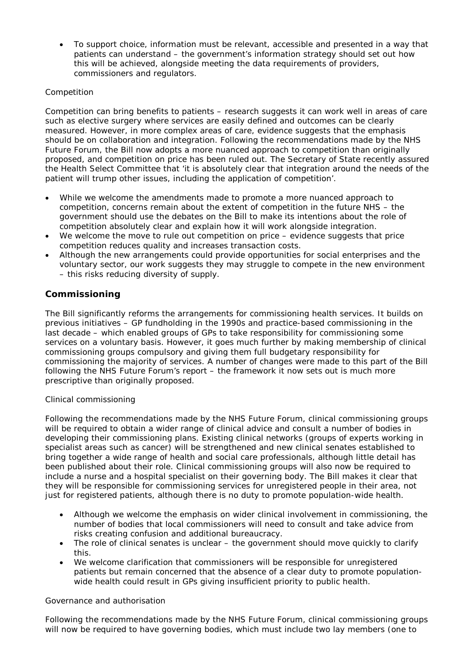• To support choice, information must be relevant, accessible and presented in a way that patients can understand – the government's information strategy should set out how this will be achieved, alongside meeting the data requirements of providers, commissioners and regulators.

## *Competition*

Competition can bring benefits to patients – research suggests it can work well in areas of care such as elective surgery where services are easily defined and outcomes can be clearly measured. However, in more complex areas of care, evidence suggests that the emphasis should be on collaboration and integration. Following the recommendations made by the NHS Future Forum, the Bill now adopts a more nuanced approach to competition than originally proposed, and competition on price has been ruled out. The Secretary of State recently assured the Health Select Committee that 'it is absolutely clear that integration around the needs of the patient will trump other issues, including the application of competition'.

- While we welcome the amendments made to promote a more nuanced approach to competition, concerns remain about the extent of competition in the future NHS – the government should use the debates on the Bill to make its intentions about the role of competition absolutely clear and explain how it will work alongside integration.
- We welcome the move to rule out competition on price evidence suggests that price competition reduces quality and increases transaction costs.
- Although the new arrangements could provide opportunities for social enterprises and the voluntary sector, our work suggests they may struggle to compete in the new environment – this risks reducing diversity of supply.

# **Commissioning**

The Bill significantly reforms the arrangements for commissioning health services. It builds on previous initiatives – GP fundholding in the 1990s and practice-based commissioning in the last decade – which enabled groups of GPs to take responsibility for commissioning some services on a voluntary basis. However, it goes much further by making membership of clinical commissioning groups compulsory and giving them full budgetary responsibility for commissioning the majority of services. A number of changes were made to this part of the Bill following the NHS Future Forum's report – the framework it now sets out is much more prescriptive than originally proposed.

#### *Clinical commissioning*

Following the recommendations made by the NHS Future Forum, clinical commissioning groups will be required to obtain a wider range of clinical advice and consult a number of bodies in developing their commissioning plans. Existing clinical networks (groups of experts working in specialist areas such as cancer) will be strengthened and new clinical senates established to bring together a wide range of health and social care professionals, although little detail has been published about their role. Clinical commissioning groups will also now be required to include a nurse and a hospital specialist on their governing body. The Bill makes it clear that they will be responsible for commissioning services for unregistered people in their area, not just for registered patients, although there is no duty to promote population-wide health.

- Although we welcome the emphasis on wider clinical involvement in commissioning, the number of bodies that local commissioners will need to consult and take advice from risks creating confusion and additional bureaucracy.
- The role of clinical senates is unclear the government should move quickly to clarify this.
- We welcome clarification that commissioners will be responsible for unregistered patients but remain concerned that the absence of a clear duty to promote populationwide health could result in GPs giving insufficient priority to public health.

#### *Governance and authorisation*

Following the recommendations made by the NHS Future Forum, clinical commissioning groups will now be required to have governing bodies, which must include two lay members (one to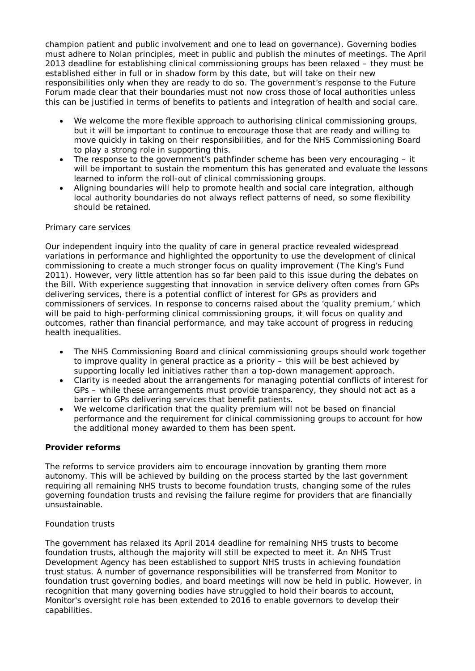champion patient and public involvement and one to lead on governance). Governing bodies must adhere to Nolan principles, meet in public and publish the minutes of meetings. The April 2013 deadline for establishing clinical commissioning groups has been relaxed – they must be established either in full or in shadow form by this date, but will take on their new responsibilities only when they are ready to do so. The government's response to the Future Forum made clear that their boundaries must not now cross those of local authorities unless this can be justified in terms of benefits to patients and integration of health and social care.

- We welcome the more flexible approach to authorising clinical commissioning groups, but it will be important to continue to encourage those that are ready and willing to move quickly in taking on their responsibilities, and for the NHS Commissioning Board to play a strong role in supporting this.
- The response to the government's pathfinder scheme has been very encouraging it will be important to sustain the momentum this has generated and evaluate the lessons learned to inform the roll-out of clinical commissioning groups.
- Aligning boundaries will help to promote health and social care integration, although local authority boundaries do not always reflect patterns of need, so some flexibility should be retained.

#### *Primary care services*

Our independent inquiry into the quality of care in general practice revealed widespread variations in performance and highlighted the opportunity to use the development of clinical commissioning to create a much stronger focus on quality improvement (The King's Fund 2011). However, very little attention has so far been paid to this issue during the debates on the Bill. With experience suggesting that innovation in service delivery often comes from GPs delivering services, there is a potential conflict of interest for GPs as providers and commissioners of services. In response to concerns raised about the 'quality premium,' which will be paid to high-performing clinical commissioning groups, it will focus on quality and outcomes, rather than financial performance, and may take account of progress in reducing health inequalities.

- The NHS Commissioning Board and clinical commissioning groups should work together to improve quality in general practice as a priority – this will be best achieved by supporting locally led initiatives rather than a top-down management approach.
- Clarity is needed about the arrangements for managing potential conflicts of interest for GPs – while these arrangements must provide transparency, they should not act as a barrier to GPs delivering services that benefit patients.
- We welcome clarification that the quality premium will not be based on financial performance and the requirement for clinical commissioning groups to account for how the additional money awarded to them has been spent.

#### **Provider reforms**

The reforms to service providers aim to encourage innovation by granting them more autonomy. This will be achieved by building on the process started by the last government requiring all remaining NHS trusts to become foundation trusts, changing some of the rules governing foundation trusts and revising the failure regime for providers that are financially unsustainable.

#### *Foundation trusts*

The government has relaxed its April 2014 deadline for remaining NHS trusts to become foundation trusts, although the majority will still be expected to meet it. An NHS Trust Development Agency has been established to support NHS trusts in achieving foundation trust status. A number of governance responsibilities will be transferred from Monitor to foundation trust governing bodies, and board meetings will now be held in public. However, in recognition that many governing bodies have struggled to hold their boards to account, Monitor's oversight role has been extended to 2016 to enable governors to develop their capabilities.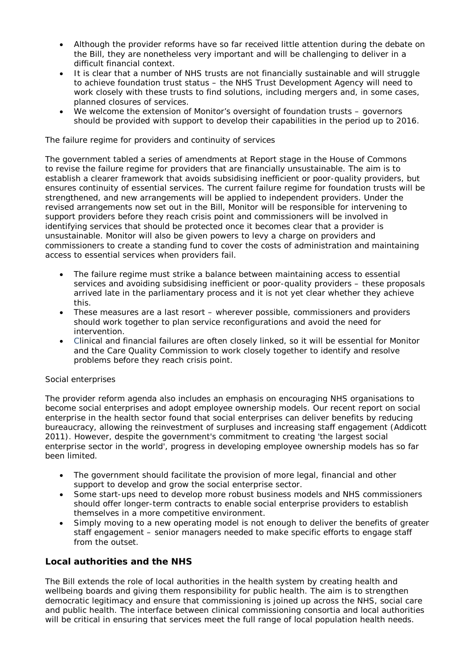- Although the provider reforms have so far received little attention during the debate on the Bill, they are nonetheless very important and will be challenging to deliver in a difficult financial context.
- It is clear that a number of NHS trusts are not financially sustainable and will struggle to achieve foundation trust status – the NHS Trust Development Agency will need to work closely with these trusts to find solutions, including mergers and, in some cases, planned closures of services.
- We welcome the extension of Monitor's oversight of foundation trusts governors should be provided with support to develop their capabilities in the period up to 2016.

#### *The failure regime for providers and continuity of services*

The government tabled a series of amendments at Report stage in the House of Commons to revise the failure regime for providers that are financially unsustainable. The aim is to establish a clearer framework that avoids subsidising inefficient or poor-quality providers, but ensures continuity of essential services. The current failure regime for foundation trusts will be strengthened, and new arrangements will be applied to independent providers. Under the revised arrangements now set out in the Bill, Monitor will be responsible for intervening to support providers before they reach crisis point and commissioners will be involved in identifying services that should be protected once it becomes clear that a provider is unsustainable. Monitor will also be given powers to levy a charge on providers and commissioners to create a standing fund to cover the costs of administration and maintaining access to essential services when providers fail.

- The failure regime must strike a balance between maintaining access to essential services and avoiding subsidising inefficient or poor-quality providers – these proposals arrived late in the parliamentary process and it is not yet clear whether they achieve this.
- These measures are a last resort wherever possible, commissioners and providers should work together to plan service reconfigurations and avoid the need for intervention.
- Clinical and financial failures are often closely linked, so it will be essential for Monitor and the Care Quality Commission to work closely together to identify and resolve problems before they reach crisis point.

#### *Social enterprises*

The provider reform agenda also includes an emphasis on encouraging NHS organisations to become social enterprises and adopt employee ownership models. Our recent report on social enterprise in the health sector found that social enterprises can deliver benefits by reducing bureaucracy, allowing the reinvestment of surpluses and increasing staff engagement (Addicott 2011). However, despite the government's commitment to creating 'the largest social enterprise sector in the world', progress in developing employee ownership models has so far been limited.

- The government should facilitate the provision of more legal, financial and other support to develop and grow the social enterprise sector.
- Some start-ups need to develop more robust business models and NHS commissioners should offer longer-term contracts to enable social enterprise providers to establish themselves in a more competitive environment.
- Simply moving to a new operating model is not enough to deliver the benefits of greater staff engagement – senior managers needed to make specific efforts to engage staff from the outset.

## **Local authorities and the NHS**

The Bill extends the role of local authorities in the health system by creating health and wellbeing boards and giving them responsibility for public health. The aim is to strengthen democratic legitimacy and ensure that commissioning is joined up across the NHS, social care and public health. The interface between clinical commissioning consortia and local authorities will be critical in ensuring that services meet the full range of local population health needs.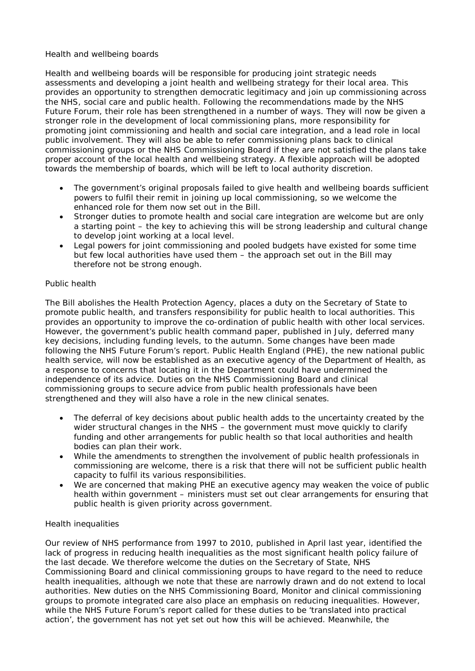#### *Health and wellbeing boards*

Health and wellbeing boards will be responsible for producing joint strategic needs assessments and developing a joint health and wellbeing strategy for their local area. This provides an opportunity to strengthen democratic legitimacy and join up commissioning across the NHS, social care and public health. Following the recommendations made by the NHS Future Forum, their role has been strengthened in a number of ways. They will now be given a stronger role in the development of local commissioning plans, more responsibility for promoting joint commissioning and health and social care integration, and a lead role in local public involvement. They will also be able to refer commissioning plans back to clinical commissioning groups or the NHS Commissioning Board if they are not satisfied the plans take proper account of the local health and wellbeing strategy. A flexible approach will be adopted towards the membership of boards, which will be left to local authority discretion.

- The government's original proposals failed to give health and wellbeing boards sufficient powers to fulfil their remit in joining up local commissioning, so we welcome the enhanced role for them now set out in the Bill.
- Stronger duties to promote health and social care integration are welcome but are only a starting point – the key to achieving this will be strong leadership and cultural change to develop joint working at a local level.
- Legal powers for joint commissioning and pooled budgets have existed for some time but few local authorities have used them – the approach set out in the Bill may therefore not be strong enough.

#### *Public health*

The Bill abolishes the Health Protection Agency, places a duty on the Secretary of State to promote public health, and transfers responsibility for public health to local authorities. This provides an opportunity to improve the co-ordination of public health with other local services. However, the government's public health command paper, published in July, deferred many key decisions, including funding levels, to the autumn. Some changes have been made following the NHS Future Forum's report. Public Health England (PHE), the new national public health service, will now be established as an executive agency of the Department of Health, as a response to concerns that locating it in the Department could have undermined the independence of its advice. Duties on the NHS Commissioning Board and clinical commissioning groups to secure advice from public health professionals have been strengthened and they will also have a role in the new clinical senates.

- The deferral of key decisions about public health adds to the uncertainty created by the wider structural changes in the NHS – the government must move quickly to clarify funding and other arrangements for public health so that local authorities and health bodies can plan their work.
- While the amendments to strengthen the involvement of public health professionals in commissioning are welcome, there is a risk that there will not be sufficient public health capacity to fulfil its various responsibilities.
- We are concerned that making PHE an executive agency may weaken the voice of public health within government – ministers must set out clear arrangements for ensuring that public health is given priority across government.

#### *Health inequalities*

Our review of NHS performance from 1997 to 2010, published in April last year, identified the lack of progress in reducing health inequalities as the most significant health policy failure of the last decade. We therefore welcome the duties on the Secretary of State, NHS Commissioning Board and clinical commissioning groups to have regard to the need to reduce health inequalities, although we note that these are narrowly drawn and do not extend to local authorities. New duties on the NHS Commissioning Board, Monitor and clinical commissioning groups to promote integrated care also place an emphasis on reducing inequalities. However, while the NHS Future Forum's report called for these duties to be 'translated into practical action', the government has not yet set out how this will be achieved. Meanwhile, the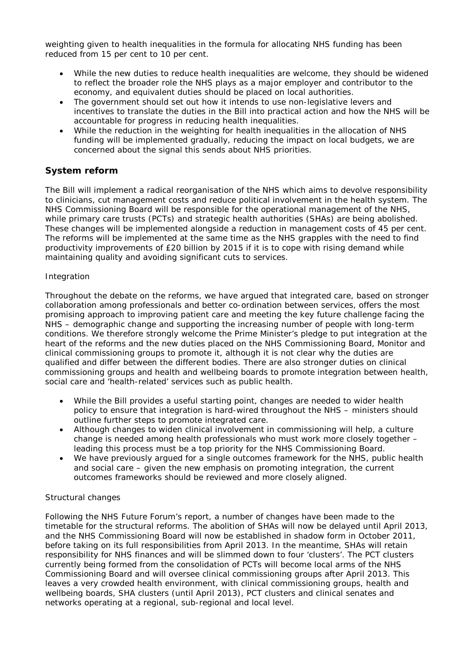weighting given to health inequalities in the formula for allocating NHS funding has been reduced from 15 per cent to 10 per cent.

- While the new duties to reduce health inequalities are welcome, they should be widened to reflect the broader role the NHS plays as a major employer and contributor to the economy, and equivalent duties should be placed on local authorities.
- The government should set out how it intends to use non-legislative levers and incentives to translate the duties in the Bill into practical action and how the NHS will be accountable for progress in reducing health inequalities.
- While the reduction in the weighting for health inequalities in the allocation of NHS funding will be implemented gradually, reducing the impact on local budgets, we are concerned about the signal this sends about NHS priorities.

# **System reform**

The Bill will implement a radical reorganisation of the NHS which aims to devolve responsibility to clinicians, cut management costs and reduce political involvement in the health system. The NHS Commissioning Board will be responsible for the operational management of the NHS, while primary care trusts (PCTs) and strategic health authorities (SHAs) are being abolished. These changes will be implemented alongside a reduction in management costs of 45 per cent. The reforms will be implemented at the same time as the NHS grapples with the need to find productivity improvements of £20 billion by 2015 if it is to cope with rising demand while maintaining quality and avoiding significant cuts to services.

#### *Integration*

Throughout the debate on the reforms, we have argued that integrated care, based on stronger collaboration among professionals and better co-ordination between services, offers the most promising approach to improving patient care and meeting the key future challenge facing the NHS – demographic change and supporting the increasing number of people with long-term conditions. We therefore strongly welcome the Prime Minister's pledge to put integration at the heart of the reforms and the new duties placed on the NHS Commissioning Board, Monitor and clinical commissioning groups to promote it, although it is not clear why the duties are qualified and differ between the different bodies. There are also stronger duties on clinical commissioning groups and health and wellbeing boards to promote integration between health, social care and 'health-related' services such as public health.

- While the Bill provides a useful starting point, changes are needed to wider health policy to ensure that integration is hard-wired throughout the NHS – ministers should outline further steps to promote integrated care.
- Although changes to widen clinical involvement in commissioning will help, a culture change is needed among health professionals who must work more closely together – leading this process must be a top priority for the NHS Commissioning Board.
- We have previously argued for a single outcomes framework for the NHS, public health and social care – given the new emphasis on promoting integration, the current outcomes frameworks should be reviewed and more closely aligned.

## *Structural changes*

Following the NHS Future Forum's report, a number of changes have been made to the timetable for the structural reforms. The abolition of SHAs will now be delayed until April 2013, and the NHS Commissioning Board will now be established in shadow form in October 2011, before taking on its full responsibilities from April 2013. In the meantime, SHAs will retain responsibility for NHS finances and will be slimmed down to four 'clusters'. The PCT clusters currently being formed from the consolidation of PCTs will become local arms of the NHS Commissioning Board and will oversee clinical commissioning groups after April 2013. This leaves a very crowded health environment, with clinical commissioning groups, health and wellbeing boards, SHA clusters (until April 2013), PCT clusters and clinical senates and networks operating at a regional, sub-regional and local level.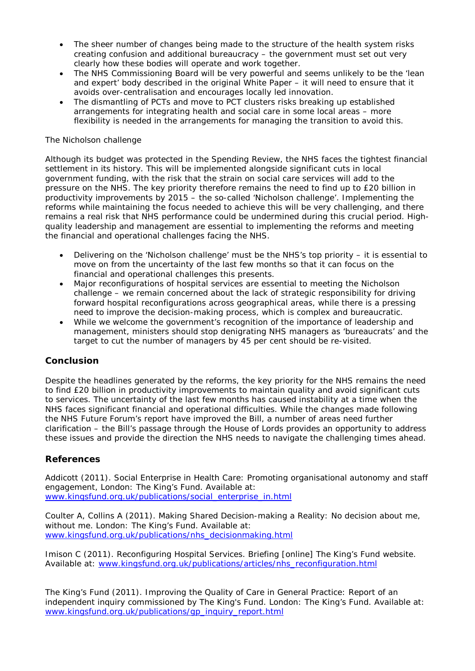- The sheer number of changes being made to the structure of the health system risks creating confusion and additional bureaucracy – the government must set out very clearly how these bodies will operate and work together.
- The NHS Commissioning Board will be very powerful and seems unlikely to be the 'lean and expert' body described in the original White Paper – it will need to ensure that it avoids over-centralisation and encourages locally led innovation.
- The dismantling of PCTs and move to PCT clusters risks breaking up established arrangements for integrating health and social care in some local areas – more flexibility is needed in the arrangements for managing the transition to avoid this.

### *The Nicholson challenge*

Although its budget was protected in the Spending Review, the NHS faces the tightest financial settlement in its history. This will be implemented alongside significant cuts in local government funding, with the risk that the strain on social care services will add to the pressure on the NHS. The key priority therefore remains the need to find up to £20 billion in productivity improvements by 2015 – the so-called 'Nicholson challenge'. Implementing the reforms while maintaining the focus needed to achieve this will be very challenging, and there remains a real risk that NHS performance could be undermined during this crucial period. Highquality leadership and management are essential to implementing the reforms and meeting the financial and operational challenges facing the NHS.

- Delivering on the 'Nicholson challenge' must be the NHS's top priority it is essential to move on from the uncertainty of the last few months so that it can focus on the financial and operational challenges this presents.
- Major reconfigurations of hospital services are essential to meeting the Nicholson challenge – we remain concerned about the lack of strategic responsibility for driving forward hospital reconfigurations across geographical areas, while there is a pressing need to improve the decision-making process, which is complex and bureaucratic.
- While we welcome the government's recognition of the importance of leadership and management, ministers should stop denigrating NHS managers as 'bureaucrats' and the target to cut the number of managers by 45 per cent should be re-visited.

## **Conclusion**

Despite the headlines generated by the reforms, the key priority for the NHS remains the need to find £20 billion in productivity improvements to maintain quality and avoid significant cuts to services. The uncertainty of the last few months has caused instability at a time when the NHS faces significant financial and operational difficulties. While the changes made following the NHS Future Forum's report have improved the Bill, a number of areas need further clarification – the Bill's passage through the House of Lords provides an opportunity to address these issues and provide the direction the NHS needs to navigate the challenging times ahead.

#### **References**

Addicott (2011). *Social Enterprise in Health Care: Promoting organisational autonomy and staff engagement*, London: The King's Fund. Available at: [www.kingsfund.org.uk/publications/social\\_enterprise\\_in.html](http://www.kingsfund.org.uk/publications/social_enterprise_in.html)

Coulter A, Collins A (2011). *Making Shared Decision-making a Reality: No decision about me, without me*. London: The King's Fund. Available at: [www.kingsfund.org.uk/publications/nhs\\_decisionmaking.html](http://www.kingsfund.org.uk/publications/nhs_decisionmaking.html)

Imison C (2011). *Reconfiguring Hospital Services*. Briefing [online] The King's Fund website. Available at: www.kingsfund.org.uk/publications/articles/nhs\_reconfiguration.html

The King's Fund (2011). *Improving the Quality of Care in General Practice: Report of an independent inquiry commissioned by The King's Fund.* London: The King's Fund. Available at: [www.kingsfund.org.uk/publications/gp\\_inquiry\\_report.html](http://www.kingsfund.org.uk/publications/gp_inquiry_report.html)